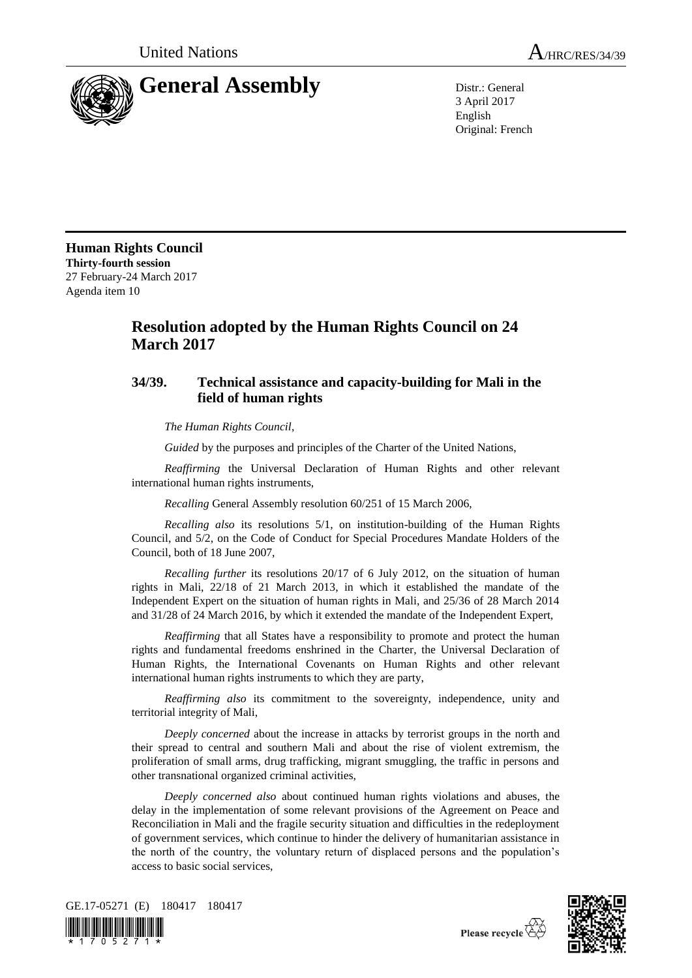



3 April 2017 English Original: French

**Human Rights Council Thirty-fourth session** 27 February-24 March 2017 Agenda item 10

## **Resolution adopted by the Human Rights Council on 24 March 2017**

## **34/39. Technical assistance and capacity-building for Mali in the field of human rights**

*The Human Rights Council*,

*Guided* by the purposes and principles of the Charter of the United Nations,

*Reaffirming* the Universal Declaration of Human Rights and other relevant international human rights instruments,

*Recalling* General Assembly resolution 60/251 of 15 March 2006,

*Recalling also* its resolutions 5/1, on institution-building of the Human Rights Council, and 5/2, on the Code of Conduct for Special Procedures Mandate Holders of the Council, both of 18 June 2007,

*Recalling further* its resolutions 20/17 of 6 July 2012, on the situation of human rights in Mali, 22/18 of 21 March 2013, in which it established the mandate of the Independent Expert on the situation of human rights in Mali, and 25/36 of 28 March 2014 and 31/28 of 24 March 2016, by which it extended the mandate of the Independent Expert,

*Reaffirming* that all States have a responsibility to promote and protect the human rights and fundamental freedoms enshrined in the Charter, the Universal Declaration of Human Rights, the International Covenants on Human Rights and other relevant international human rights instruments to which they are party,

*Reaffirming also* its commitment to the sovereignty, independence, unity and territorial integrity of Mali,

*Deeply concerned* about the increase in attacks by terrorist groups in the north and their spread to central and southern Mali and about the rise of violent extremism, the proliferation of small arms, drug trafficking, migrant smuggling, the traffic in persons and other transnational organized criminal activities,

*Deeply concerned also* about continued human rights violations and abuses, the delay in the implementation of some relevant provisions of the Agreement on Peace and Reconciliation in Mali and the fragile security situation and difficulties in the redeployment of government services, which continue to hinder the delivery of humanitarian assistance in the north of the country, the voluntary return of displaced persons and the population's access to basic social services,



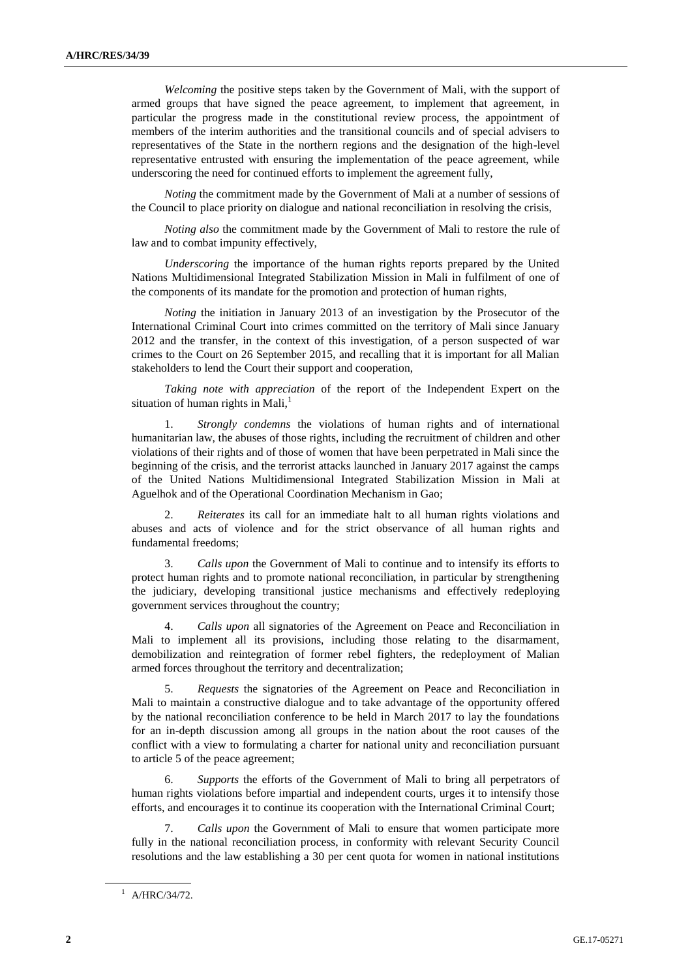*Welcoming* the positive steps taken by the Government of Mali, with the support of armed groups that have signed the peace agreement, to implement that agreement, in particular the progress made in the constitutional review process, the appointment of members of the interim authorities and the transitional councils and of special advisers to representatives of the State in the northern regions and the designation of the high-level representative entrusted with ensuring the implementation of the peace agreement, while underscoring the need for continued efforts to implement the agreement fully,

*Noting* the commitment made by the Government of Mali at a number of sessions of the Council to place priority on dialogue and national reconciliation in resolving the crisis,

*Noting also* the commitment made by the Government of Mali to restore the rule of law and to combat impunity effectively,

*Underscoring* the importance of the human rights reports prepared by the United Nations Multidimensional Integrated Stabilization Mission in Mali in fulfilment of one of the components of its mandate for the promotion and protection of human rights,

*Noting* the initiation in January 2013 of an investigation by the Prosecutor of the International Criminal Court into crimes committed on the territory of Mali since January 2012 and the transfer, in the context of this investigation, of a person suspected of war crimes to the Court on 26 September 2015, and recalling that it is important for all Malian stakeholders to lend the Court their support and cooperation,

*Taking note with appreciation* of the report of the Independent Expert on the situation of human rights in Mali, $<sup>1</sup>$ </sup>

1. *Strongly condemns* the violations of human rights and of international humanitarian law, the abuses of those rights, including the recruitment of children and other violations of their rights and of those of women that have been perpetrated in Mali since the beginning of the crisis, and the terrorist attacks launched in January 2017 against the camps of the United Nations Multidimensional Integrated Stabilization Mission in Mali at Aguelhok and of the Operational Coordination Mechanism in Gao;

2. *Reiterates* its call for an immediate halt to all human rights violations and abuses and acts of violence and for the strict observance of all human rights and fundamental freedoms;

3. *Calls upon* the Government of Mali to continue and to intensify its efforts to protect human rights and to promote national reconciliation, in particular by strengthening the judiciary, developing transitional justice mechanisms and effectively redeploying government services throughout the country;

4. *Calls upon* all signatories of the Agreement on Peace and Reconciliation in Mali to implement all its provisions, including those relating to the disarmament, demobilization and reintegration of former rebel fighters, the redeployment of Malian armed forces throughout the territory and decentralization;

5. *Requests* the signatories of the Agreement on Peace and Reconciliation in Mali to maintain a constructive dialogue and to take advantage of the opportunity offered by the national reconciliation conference to be held in March 2017 to lay the foundations for an in-depth discussion among all groups in the nation about the root causes of the conflict with a view to formulating a charter for national unity and reconciliation pursuant to article 5 of the peace agreement;

6. *Supports* the efforts of the Government of Mali to bring all perpetrators of human rights violations before impartial and independent courts, urges it to intensify those efforts, and encourages it to continue its cooperation with the International Criminal Court;

7. *Calls upon* the Government of Mali to ensure that women participate more fully in the national reconciliation process, in conformity with relevant Security Council resolutions and the law establishing a 30 per cent quota for women in national institutions

 $1$  A/HRC/34/72.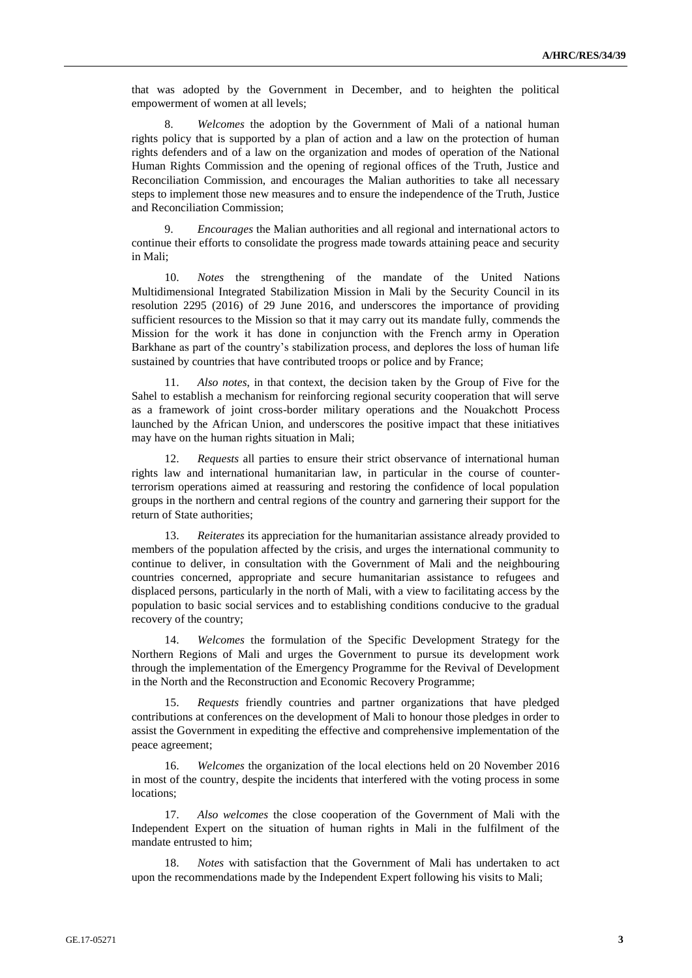that was adopted by the Government in December, and to heighten the political empowerment of women at all levels;

8. *Welcomes* the adoption by the Government of Mali of a national human rights policy that is supported by a plan of action and a law on the protection of human rights defenders and of a law on the organization and modes of operation of the National Human Rights Commission and the opening of regional offices of the Truth, Justice and Reconciliation Commission, and encourages the Malian authorities to take all necessary steps to implement those new measures and to ensure the independence of the Truth, Justice and Reconciliation Commission;

9. *Encourages* the Malian authorities and all regional and international actors to continue their efforts to consolidate the progress made towards attaining peace and security in Mali;

10. *Notes* the strengthening of the mandate of the United Nations Multidimensional Integrated Stabilization Mission in Mali by the Security Council in its resolution 2295 (2016) of 29 June 2016, and underscores the importance of providing sufficient resources to the Mission so that it may carry out its mandate fully, commends the Mission for the work it has done in conjunction with the French army in Operation Barkhane as part of the country's stabilization process, and deplores the loss of human life sustained by countries that have contributed troops or police and by France;

11. *Also notes*, in that context, the decision taken by the Group of Five for the Sahel to establish a mechanism for reinforcing regional security cooperation that will serve as a framework of joint cross-border military operations and the Nouakchott Process launched by the African Union, and underscores the positive impact that these initiatives may have on the human rights situation in Mali;

12. *Requests* all parties to ensure their strict observance of international human rights law and international humanitarian law, in particular in the course of counterterrorism operations aimed at reassuring and restoring the confidence of local population groups in the northern and central regions of the country and garnering their support for the return of State authorities;

13. *Reiterates* its appreciation for the humanitarian assistance already provided to members of the population affected by the crisis, and urges the international community to continue to deliver, in consultation with the Government of Mali and the neighbouring countries concerned, appropriate and secure humanitarian assistance to refugees and displaced persons, particularly in the north of Mali, with a view to facilitating access by the population to basic social services and to establishing conditions conducive to the gradual recovery of the country;

14. *Welcomes* the formulation of the Specific Development Strategy for the Northern Regions of Mali and urges the Government to pursue its development work through the implementation of the Emergency Programme for the Revival of Development in the North and the Reconstruction and Economic Recovery Programme;

15. *Requests* friendly countries and partner organizations that have pledged contributions at conferences on the development of Mali to honour those pledges in order to assist the Government in expediting the effective and comprehensive implementation of the peace agreement;

16. *Welcomes* the organization of the local elections held on 20 November 2016 in most of the country, despite the incidents that interfered with the voting process in some locations;

17. *Also welcomes* the close cooperation of the Government of Mali with the Independent Expert on the situation of human rights in Mali in the fulfilment of the mandate entrusted to him;

18. *Notes* with satisfaction that the Government of Mali has undertaken to act upon the recommendations made by the Independent Expert following his visits to Mali;